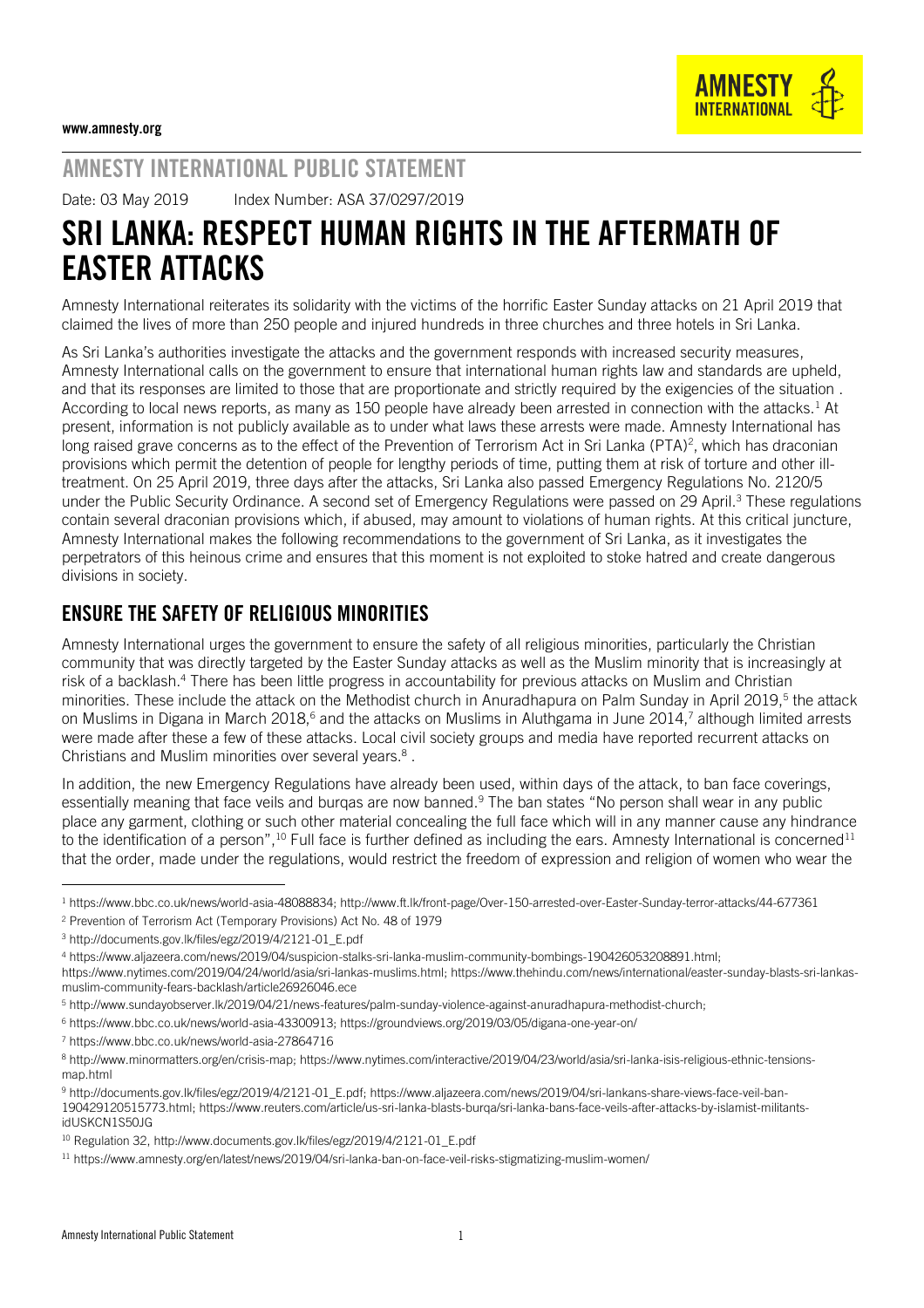

# AMNESTY INTERNATIONAL PUBLIC STATEMENT

Date: 03 May 2019 Index Number: ASA 37/0297/2019

# SRI LANKA: RESPECT HUMAN RIGHTS IN THE AFTERMATH OF EASTER ATTACKS

Amnesty International reiterates its solidarity with the victims of the horrific Easter Sunday attacks on 21 April 2019 that claimed the lives of more than 250 people and injured hundreds in three churches and three hotels in Sri Lanka.

As Sri Lanka's authorities investigate the attacks and the government responds with increased security measures, Amnesty International calls on the government to ensure that international human rights law and standards are upheld, and that its responses are limited to those that are proportionate and strictly required by the exigencies of the situation . According to local news reports, as many as 150 people have already been arrested in connection with the attacks.<sup>1</sup> At present, information is not publicly available as to under what laws these arrests were made. Amnesty International has long raised grave concerns as to the effect of the Prevention of Terrorism Act in Sri Lanka (PTA)<sup>2</sup>, which has draconian provisions which permit the detention of people for lengthy periods of time, putting them at risk of torture and other illtreatment. On 25 April 2019, three days after the attacks, Sri Lanka also passed Emergency Regulations No. 2120/5 under the Public Security Ordinance. A second set of Emergency Regulations were passed on 29 April.<sup>3</sup> These regulations contain several draconian provisions which, if abused, may amount to violations of human rights. At this critical juncture, Amnesty International makes the following recommendations to the government of Sri Lanka, as it investigates the perpetrators of this heinous crime and ensures that this moment is not exploited to stoke hatred and create dangerous divisions in society.

# ENSURE THE SAFETY OF RELIGIOUS MINORITIES

Amnesty International urges the government to ensure the safety of all religious minorities, particularly the Christian community that was directly targeted by the Easter Sunday attacks as well as the Muslim minority that is increasingly at risk of a backlash.<sup>4</sup> There has been little progress in accountability for previous attacks on Muslim and Christian minorities. These include the attack on the Methodist church in Anuradhapura on Palm Sunday in April 2019,<sup>5</sup> the attack on Muslims in Digana in March 2018,<sup>6</sup> and the attacks on Muslims in Aluthgama in June 2014,<sup>7</sup> although limited arrests were made after these a few of these attacks. Local civil society groups and media have reported recurrent attacks on Christians and Muslim minorities over several years. 8 .

In addition, the new Emergency Regulations have already been used, within days of the attack, to ban face coverings, essentially meaning that face veils and burqas are now banned.<sup>9</sup> The ban states "No person shall wear in any public place any garment, clothing or such other material concealing the full face which will in any manner cause any hindrance to the identification of a person",<sup>10</sup> Full face is further defined as including the ears. Amnesty International is concerned<sup>11</sup> that the order, made under the regulations, would restrict the freedom of expression and religion of women who wear the

<sup>2</sup> Prevention of Terrorism Act (Temporary Provisions) Act No. 48 of 1979

[https://www.nytimes.com/2019/04/24/world/asia/sri-lankas-muslims.html;](https://www.nytimes.com/2019/04/24/world/asia/sri-lankas-muslims.html) [https://www.thehindu.com/news/international/easter-sunday-blasts-sri-lankas](https://www.thehindu.com/news/international/easter-sunday-blasts-sri-lankas-muslim-community-fears-backlash/article26926046.ece)[muslim-community-fears-backlash/article26926046.ece](https://www.thehindu.com/news/international/easter-sunday-blasts-sri-lankas-muslim-community-fears-backlash/article26926046.ece)

l

<sup>1</sup> [https://www.bbc.co.uk/news/world-asia-48088834;](https://www.bbc.co.uk/news/world-asia-48088834)<http://www.ft.lk/front-page/Over-150-arrested-over-Easter-Sunday-terror-attacks/44-677361>

<sup>3</sup> [http://documents.gov.lk/files/egz/2019/4/2121-01\\_E.pdf](http://documents.gov.lk/files/egz/2019/4/2121-01_E.pdf)

<sup>4</sup> [https://www.aljazeera.com/news/2019/04/suspicion-stalks-sri-lanka-muslim-community-bombings-190426053208891.html;](https://www.aljazeera.com/news/2019/04/suspicion-stalks-sri-lanka-muslim-community-bombings-190426053208891.html)

<sup>5</sup> [http://www.sundayobserver.lk/2019/04/21/news-features/palm-sunday-violence-against-anuradhapura-methodist-church;](http://www.sundayobserver.lk/2019/04/21/news-features/palm-sunday-violence-against-anuradhapura-methodist-church) 

<sup>6</sup> [https://www.bbc.co.uk/news/world-asia-43300913;](https://www.bbc.co.uk/news/world-asia-43300913)<https://groundviews.org/2019/03/05/digana-one-year-on/>

<sup>7</sup> <https://www.bbc.co.uk/news/world-asia-27864716>

<sup>8</sup> [http://www.minormatters.org/en/crisis-map;](http://www.minormatters.org/en/crisis-map) [https://www.nytimes.com/interactive/2019/04/23/world/asia/sri-lanka-isis-religious-ethnic-tensions](https://www.nytimes.com/interactive/2019/04/23/world/asia/sri-lanka-isis-religious-ethnic-tensions-map.html)[map.html](https://www.nytimes.com/interactive/2019/04/23/world/asia/sri-lanka-isis-religious-ethnic-tensions-map.html)

<sup>9</sup> [http://documents.gov.lk/files/egz/2019/4/2121-01\\_E.pdf;](http://documents.gov.lk/files/egz/2019/4/2121-01_E.pdf) [https://www.aljazeera.com/news/2019/04/sri-lankans-share-views-face-veil-ban-](https://www.aljazeera.com/news/2019/04/sri-lankans-share-views-face-veil-ban-190429120515773.html)[190429120515773.html;](https://www.aljazeera.com/news/2019/04/sri-lankans-share-views-face-veil-ban-190429120515773.html) [https://www.reuters.com/article/us-sri-lanka-blasts-burqa/sri-lanka-bans-face-veils-after-attacks-by-islamist-militants](https://www.reuters.com/article/us-sri-lanka-blasts-burqa/sri-lanka-bans-face-veils-after-attacks-by-islamist-militants-idUSKCN1S50JG)[idUSKCN1S50JG](https://www.reuters.com/article/us-sri-lanka-blasts-burqa/sri-lanka-bans-face-veils-after-attacks-by-islamist-militants-idUSKCN1S50JG)

<sup>10</sup> Regulation 32, [http://www.documents.gov.lk/files/egz/2019/4/2121-01\\_E.pdf](http://www.documents.gov.lk/files/egz/2019/4/2121-01_E.pdf)

<sup>11</sup> <https://www.amnesty.org/en/latest/news/2019/04/sri-lanka-ban-on-face-veil-risks-stigmatizing-muslim-women/>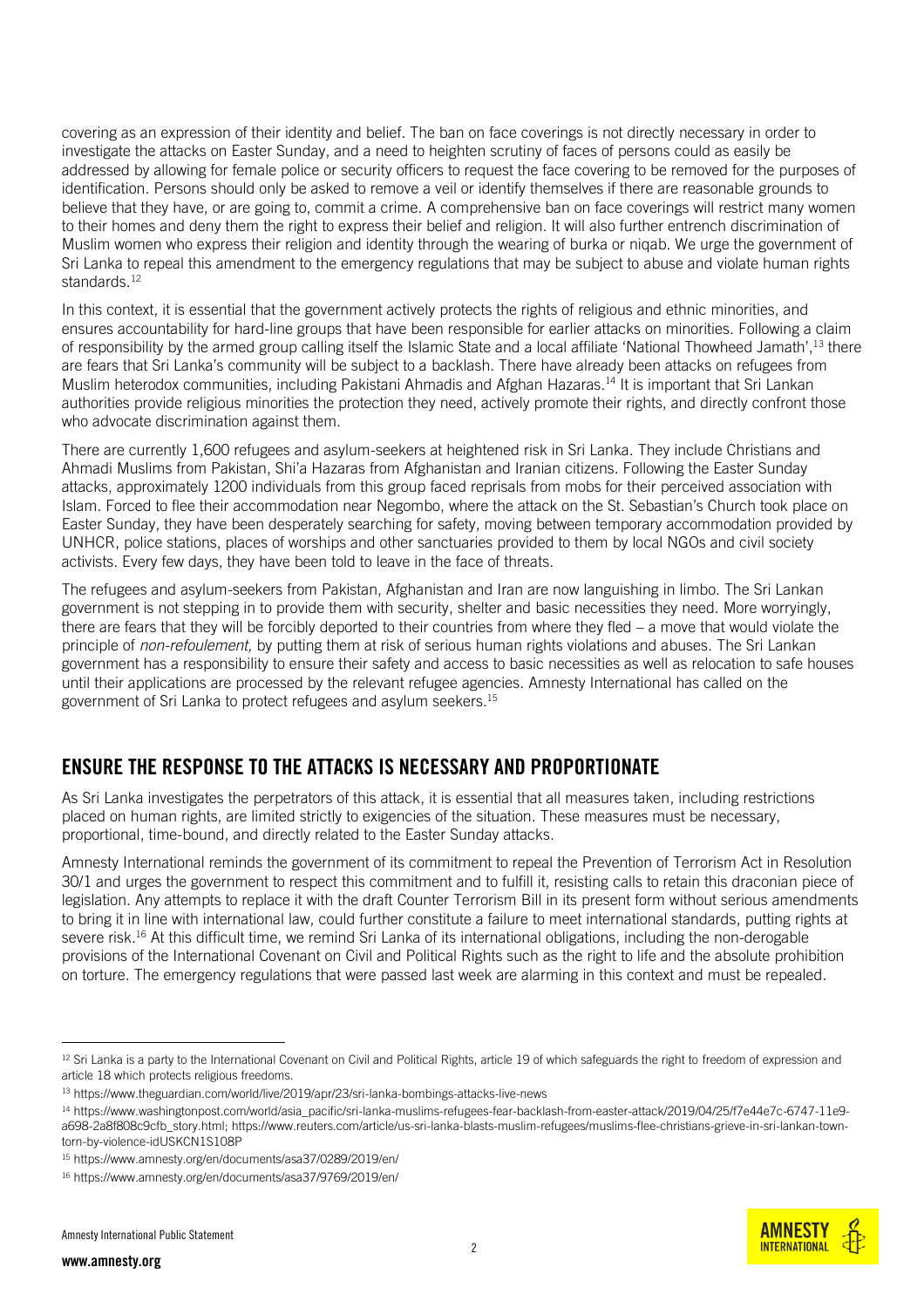covering as an expression of their identity and belief. The ban on face coverings is not directly necessary in order to investigate the attacks on Easter Sunday, and a need to heighten scrutiny of faces of persons could as easily be addressed by allowing for female police or security officers to request the face covering to be removed for the purposes of identification. Persons should only be asked to remove a veil or identify themselves if there are reasonable grounds to believe that they have, or are going to, commit a crime. A comprehensive ban on face coverings will restrict many women to their homes and deny them the right to express their belief and religion. It will also further entrench discrimination of Muslim women who express their religion and identity through the wearing of burka or niqab. We urge the government of Sri Lanka to repeal this amendment to the emergency regulations that may be subject to abuse and violate human rights standards.<sup>12</sup>

In this context, it is essential that the government actively protects the rights of religious and ethnic minorities, and ensures accountability for hard-line groups that have been responsible for earlier attacks on minorities. Following a claim of responsibility by the armed group calling itself the Islamic State and a local affiliate 'National Thowheed Jamath',<sup>13</sup> there are fears that Sri Lanka's community will be subject to a backlash. There have already been attacks on refugees from Muslim heterodox communities, including Pakistani Ahmadis and Afghan Hazaras.<sup>14</sup> It is important that Sri Lankan authorities provide religious minorities the protection they need, actively promote their rights, and directly confront those who advocate discrimination against them.

There are currently 1,600 refugees and asylum-seekers at heightened risk in Sri Lanka. They include Christians and Ahmadi Muslims from Pakistan, Shi'a Hazaras from Afghanistan and Iranian citizens. Following the Easter Sunday attacks, approximately 1200 individuals from this group faced reprisals from mobs for their perceived association with Islam. Forced to flee their accommodation near Negombo, where the attack on the St. Sebastian's Church took place on Easter Sunday, they have been desperately searching for safety, moving between temporary accommodation provided by UNHCR, police stations, places of worships and other sanctuaries provided to them by local NGOs and civil society activists. Every few days, they have been told to leave in the face of threats.

The refugees and asylum-seekers from Pakistan, Afghanistan and Iran are now languishing in limbo. The Sri Lankan government is not stepping in to provide them with security, shelter and basic necessities they need. More worryingly, there are fears that they will be forcibly deported to their countries from where they fled – a move that would violate the principle of *non-refoulement,* by putting them at risk of serious human rights violations and abuses. The Sri Lankan government has a responsibility to ensure their safety and access to basic necessities as well as relocation to safe houses until their applications are processed by the relevant refugee agencies. Amnesty International has called on the government of Sri Lanka to protect refugees and asylum seekers.<sup>15</sup>

## ENSURE THE RESPONSE TO THE ATTACKS IS NECESSARY AND PROPORTIONATE

As Sri Lanka investigates the perpetrators of this attack, it is essential that all measures taken, including restrictions placed on human rights, are limited strictly to exigencies of the situation. These measures must be necessary, proportional, time-bound, and directly related to the Easter Sunday attacks.

Amnesty International reminds the government of its commitment to repeal the Prevention of Terrorism Act in Resolution 30/1 and urges the government to respect this commitment and to fulfill it, resisting calls to retain this draconian piece of legislation. Any attempts to replace it with the draft Counter Terrorism Bill in its present form without serious amendments to bring it in line with international law, could further constitute a failure to meet international standards, putting rights at severe risk. <sup>16</sup> At this difficult time, we remind Sri Lanka of its international obligations, including the non-derogable provisions of the International Covenant on Civil and Political Rights such as the right to life and the absolute prohibition on torture. The emergency regulations that were passed last week are alarming in this context and must be repealed.

 $\overline{2}$ 



 $12$  Sri Lanka is a party to the International Covenant on Civil and Political Rights, article 19 of which safeguards the right to freedom of expression and article 18 which protects religious freedoms.

<sup>13</sup> <https://www.theguardian.com/world/live/2019/apr/23/sri-lanka-bombings-attacks-live-news>

<sup>14</sup> [https://www.washingtonpost.com/world/asia\\_pacific/sri-lanka-muslims-refugees-fear-backlash-from-easter-attack/2019/04/25/f7e44e7c-6747-11e9](https://www.washingtonpost.com/world/asia_pacific/sri-lanka-muslims-refugees-fear-backlash-from-easter-attack/2019/04/25/f7e44e7c-6747-11e9-a698-2a8f808c9cfb_story.html) [a698-2a8f808c9cfb\\_story.html;](https://www.washingtonpost.com/world/asia_pacific/sri-lanka-muslims-refugees-fear-backlash-from-easter-attack/2019/04/25/f7e44e7c-6747-11e9-a698-2a8f808c9cfb_story.html) [https://www.reuters.com/article/us-sri-lanka-blasts-muslim-refugees/muslims-flee-christians-grieve-in-sri-lankan-town](https://www.reuters.com/article/us-sri-lanka-blasts-muslim-refugees/muslims-flee-christians-grieve-in-sri-lankan-town-torn-by-violence-idUSKCN1S108P)[torn-by-violence-idUSKCN1S108P](https://www.reuters.com/article/us-sri-lanka-blasts-muslim-refugees/muslims-flee-christians-grieve-in-sri-lankan-town-torn-by-violence-idUSKCN1S108P)

<sup>15</sup> <https://www.amnesty.org/en/documents/asa37/0289/2019/en/>

<sup>16</sup> <https://www.amnesty.org/en/documents/asa37/9769/2019/en/>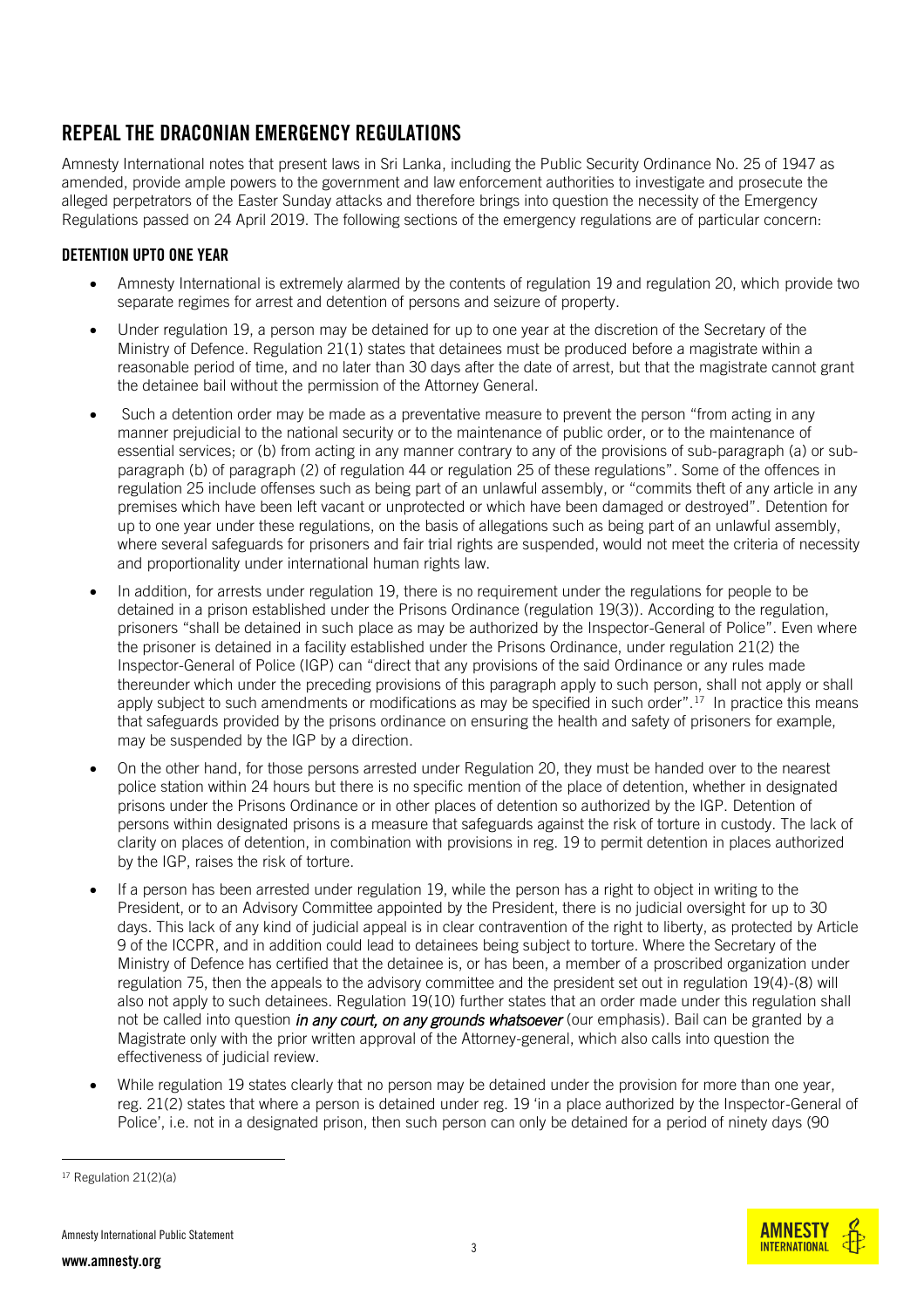# REPEAL THE DRACONIAN EMERGENCY REGULATIONS

Amnesty International notes that present laws in Sri Lanka, including the Public Security Ordinance No. 25 of 1947 as amended, provide ample powers to the government and law enforcement authorities to investigate and prosecute the alleged perpetrators of the Easter Sunday attacks and therefore brings into question the necessity of the Emergency Regulations passed on 24 April 2019. The following sections of the emergency regulations are of particular concern:

## DETENTION UPTO ONE YEAR

- Amnesty International is extremely alarmed by the contents of regulation 19 and regulation 20, which provide two separate regimes for arrest and detention of persons and seizure of property.
- Under regulation 19, a person may be detained for up to one year at the discretion of the Secretary of the Ministry of Defence. Regulation 21(1) states that detainees must be produced before a magistrate within a reasonable period of time, and no later than 30 days after the date of arrest, but that the magistrate cannot grant the detainee bail without the permission of the Attorney General.
- Such a detention order may be made as a preventative measure to prevent the person "from acting in any manner prejudicial to the national security or to the maintenance of public order, or to the maintenance of essential services; or (b) from acting in any manner contrary to any of the provisions of sub-paragraph (a) or subparagraph (b) of paragraph (2) of regulation 44 or regulation 25 of these regulations". Some of the offences in regulation 25 include offenses such as being part of an unlawful assembly, or "commits theft of any article in any premises which have been left vacant or unprotected or which have been damaged or destroyed". Detention for up to one year under these regulations, on the basis of allegations such as being part of an unlawful assembly, where several safeguards for prisoners and fair trial rights are suspended, would not meet the criteria of necessity and proportionality under international human rights law.
- In addition, for arrests under regulation 19, there is no requirement under the regulations for people to be detained in a prison established under the Prisons Ordinance (regulation 19(3)). According to the regulation, prisoners "shall be detained in such place as may be authorized by the Inspector-General of Police". Even where the prisoner is detained in a facility established under the Prisons Ordinance, under regulation 21(2) the Inspector-General of Police (IGP) can "direct that any provisions of the said Ordinance or any rules made thereunder which under the preceding provisions of this paragraph apply to such person, shall not apply or shall apply subject to such amendments or modifications as may be specified in such order".<sup>17</sup> In practice this means that safeguards provided by the prisons ordinance on ensuring the health and safety of prisoners for example, may be suspended by the IGP by a direction.
- On the other hand, for those persons arrested under Regulation 20, they must be handed over to the nearest police station within 24 hours but there is no specific mention of the place of detention, whether in designated prisons under the Prisons Ordinance or in other places of detention so authorized by the IGP. Detention of persons within designated prisons is a measure that safeguards against the risk of torture in custody. The lack of clarity on places of detention, in combination with provisions in reg. 19 to permit detention in places authorized by the IGP, raises the risk of torture.
- If a person has been arrested under regulation 19, while the person has a right to object in writing to the President, or to an Advisory Committee appointed by the President, there is no judicial oversight for up to 30 days. This lack of any kind of judicial appeal is in clear contravention of the right to liberty, as protected by Article 9 of the ICCPR, and in addition could lead to detainees being subject to torture. Where the Secretary of the Ministry of Defence has certified that the detainee is, or has been, a member of a proscribed organization under regulation 75, then the appeals to the advisory committee and the president set out in regulation 19(4)-(8) will also not apply to such detainees. Regulation 19(10) further states that an order made under this regulation shall not be called into question *in any court, on any grounds whatsoever* (our emphasis). Bail can be granted by a Magistrate only with the prior written approval of the Attorney-general, which also calls into question the effectiveness of judicial review.
- While regulation 19 states clearly that no person may be detained under the provision for more than one year, reg. 21(2) states that where a person is detained under reg. 19 'in a place authorized by the Inspector-General of Police', i.e. not in a designated prison, then such person can only be detained for a period of ninety days (90



<sup>17</sup> Regulation 21(2)(a)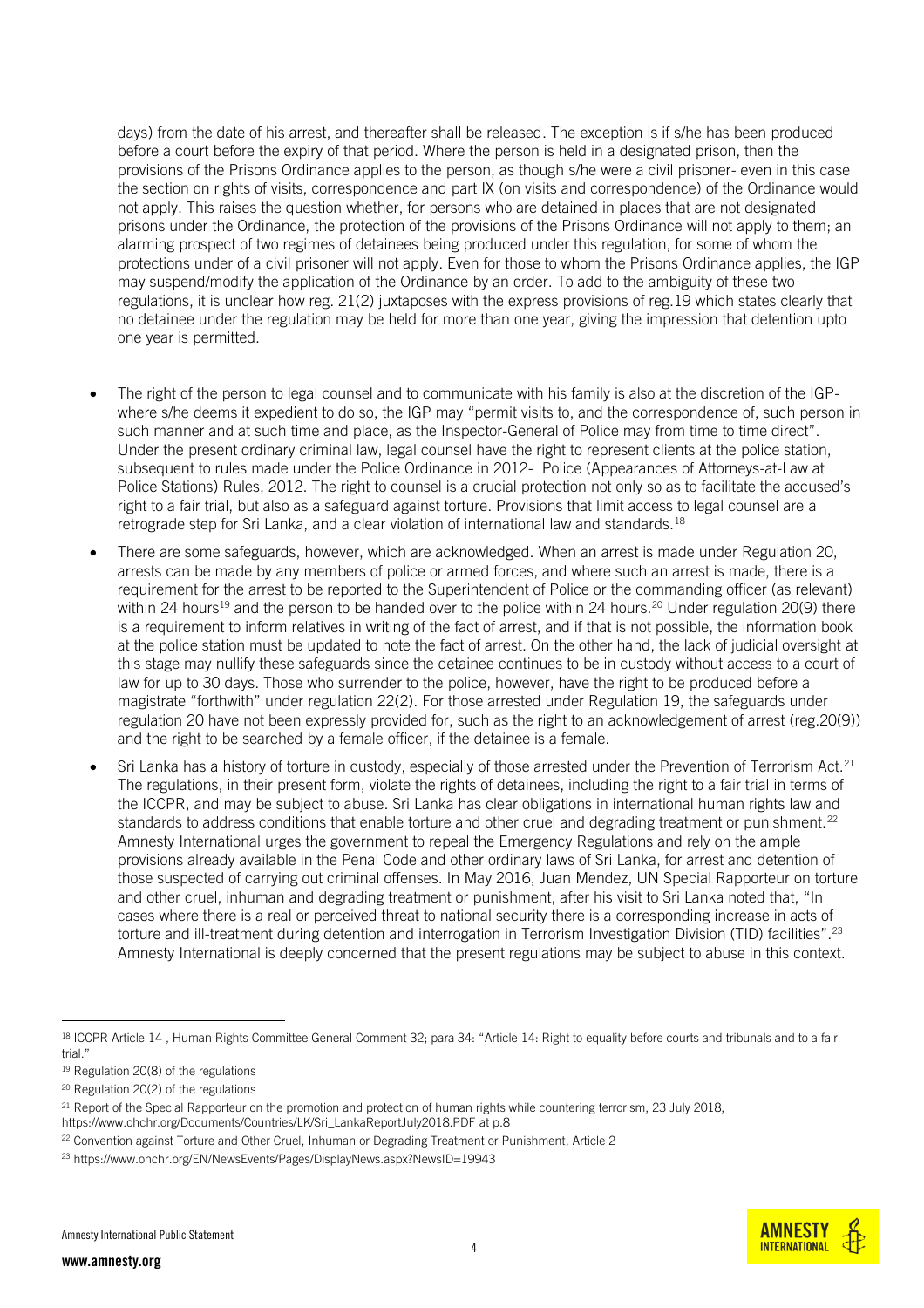days) from the date of his arrest, and thereafter shall be released. The exception is if s/he has been produced before a court before the expiry of that period. Where the person is held in a designated prison, then the provisions of the Prisons Ordinance applies to the person, as though s/he were a civil prisoner- even in this case the section on rights of visits, correspondence and part IX (on visits and correspondence) of the Ordinance would not apply. This raises the question whether, for persons who are detained in places that are not designated prisons under the Ordinance, the protection of the provisions of the Prisons Ordinance will not apply to them; an alarming prospect of two regimes of detainees being produced under this regulation, for some of whom the protections under of a civil prisoner will not apply. Even for those to whom the Prisons Ordinance applies, the IGP may suspend/modify the application of the Ordinance by an order. To add to the ambiguity of these two regulations, it is unclear how reg. 21(2) juxtaposes with the express provisions of reg.19 which states clearly that no detainee under the regulation may be held for more than one year, giving the impression that detention upto one year is permitted.

- The right of the person to legal counsel and to communicate with his family is also at the discretion of the IGPwhere s/he deems it expedient to do so, the IGP may "permit visits to, and the correspondence of, such person in such manner and at such time and place, as the Inspector-General of Police may from time to time direct". Under the present ordinary criminal law, legal counsel have the right to represent clients at the police station, subsequent to rules made under the Police Ordinance in 2012- Police (Appearances of Attorneys-at-Law at Police Stations) Rules, 2012. The right to counsel is a crucial protection not only so as to facilitate the accused's right to a fair trial, but also as a safeguard against torture. Provisions that limit access to legal counsel are a retrograde step for Sri Lanka, and a clear violation of international law and standards.<sup>18</sup>
- There are some safeguards, however, which are acknowledged. When an arrest is made under Regulation 20, arrests can be made by any members of police or armed forces, and where such an arrest is made, there is a requirement for the arrest to be reported to the Superintendent of Police or the commanding officer (as relevant) within 24 hours<sup>19</sup> and the person to be handed over to the police within 24 hours.<sup>20</sup> Under regulation 20(9) there is a requirement to inform relatives in writing of the fact of arrest, and if that is not possible, the information book at the police station must be updated to note the fact of arrest. On the other hand, the lack of judicial oversight at this stage may nullify these safeguards since the detainee continues to be in custody without access to a court of law for up to 30 days. Those who surrender to the police, however, have the right to be produced before a magistrate "forthwith" under regulation 22(2). For those arrested under Regulation 19, the safeguards under regulation 20 have not been expressly provided for, such as the right to an acknowledgement of arrest (reg.20(9)) and the right to be searched by a female officer, if the detainee is a female.
- Sri Lanka has a history of torture in custody, especially of those arrested under the Prevention of Terrorism Act.<sup>21</sup> The regulations, in their present form, violate the rights of detainees, including the right to a fair trial in terms of the ICCPR, and may be subject to abuse. Sri Lanka has clear obligations in international human rights law and standards to address conditions that enable torture and other cruel and degrading treatment or punishment.<sup>22</sup> Amnesty International urges the government to repeal the Emergency Regulations and rely on the ample provisions already available in the Penal Code and other ordinary laws of Sri Lanka, for arrest and detention of those suspected of carrying out criminal offenses. In May 2016, Juan Mendez, UN Special Rapporteur on torture and other cruel, inhuman and degrading treatment or punishment, after his visit to Sri Lanka noted that, "In cases where there is a real or perceived threat to national security there is a corresponding increase in acts of torture and ill-treatment during detention and interrogation in Terrorism Investigation Division (TID) facilities".<sup>23</sup> Amnesty International is deeply concerned that the present regulations may be subject to abuse in this context.



<sup>&</sup>lt;sup>18</sup> ICCPR Article 14, Human Rights Committee General Comment 32; para 34: "Article 14: Right to equality before courts and tribunals and to a fair trial."

<sup>19</sup> Regulation 20(8) of the regulations

<sup>20</sup> Regulation 20(2) of the regulations

 $^{21}$  Report of the Special Rapporteur on the promotion and protection of human rights while countering terrorism, 23 July 2018, [https://www.ohchr.org/Documents/Countries/LK/Sri\\_LankaReportJuly2018.PDF](https://www.ohchr.org/Documents/Countries/LK/Sri_LankaReportJuly2018.PDF) at p.8

<sup>&</sup>lt;sup>22</sup> Convention against Torture and Other Cruel, Inhuman or Degrading Treatment or Punishment, Article 2

<sup>23</sup> <https://www.ohchr.org/EN/NewsEvents/Pages/DisplayNews.aspx?NewsID=19943>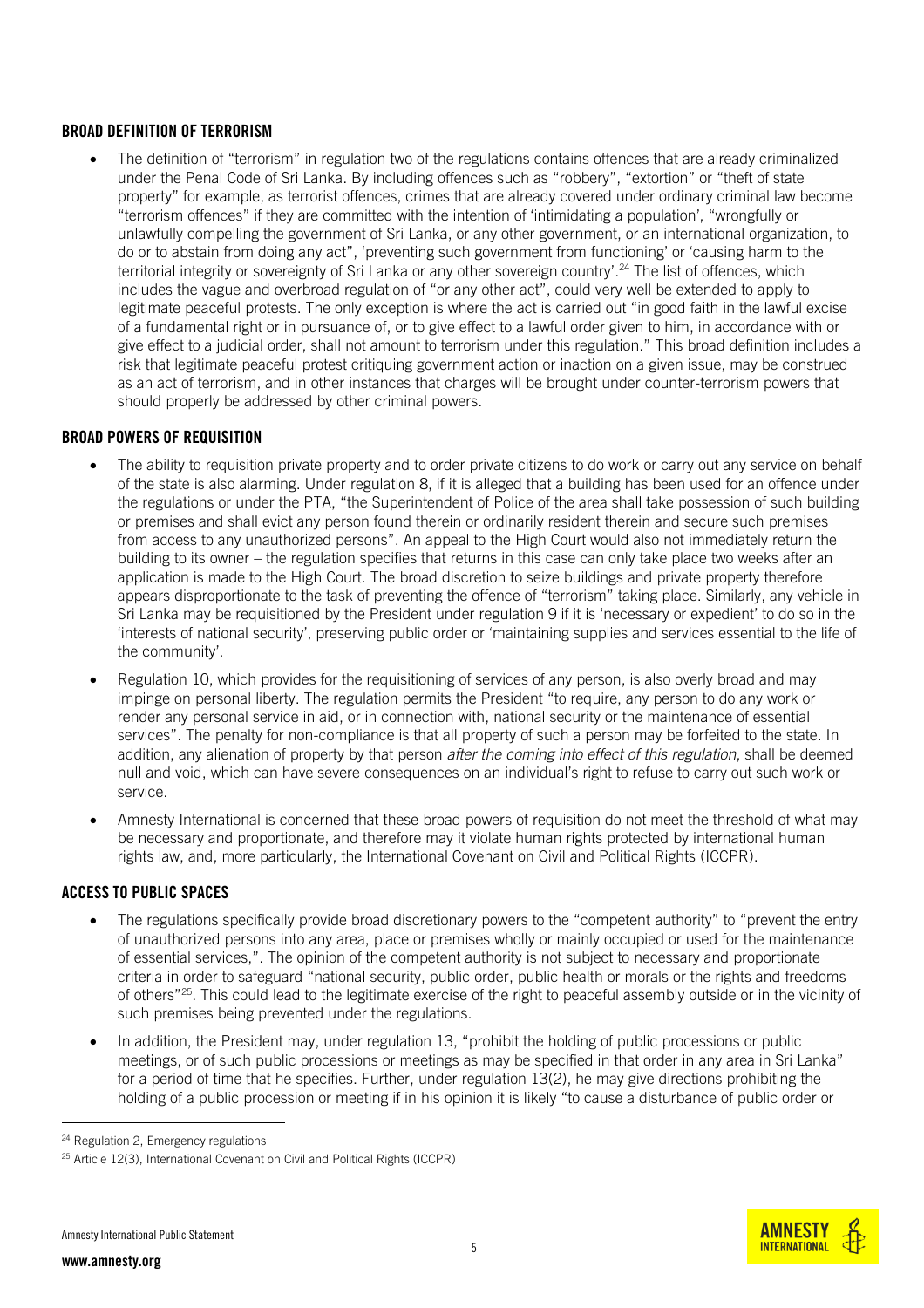## BROAD DEFINITION OF TERRORISM

 The definition of "terrorism" in regulation two of the regulations contains offences that are already criminalized under the Penal Code of Sri Lanka. By including offences such as "robbery", "extortion" or "theft of state property" for example, as terrorist offences, crimes that are already covered under ordinary criminal law become "terrorism offences" if they are committed with the intention of 'intimidating a population', "wrongfully or unlawfully compelling the government of Sri Lanka, or any other government, or an international organization, to do or to abstain from doing any act", 'preventing such government from functioning' or 'causing harm to the territorial integrity or sovereignty of Sri Lanka or any other sovereign country'. <sup>24</sup> The list of offences, which includes the vague and overbroad regulation of "or any other act", could very well be extended to apply to legitimate peaceful protests. The only exception is where the act is carried out "in good faith in the lawful excise of a fundamental right or in pursuance of, or to give effect to a lawful order given to him, in accordance with or give effect to a judicial order, shall not amount to terrorism under this regulation." This broad definition includes a risk that legitimate peaceful protest critiquing government action or inaction on a given issue, may be construed as an act of terrorism, and in other instances that charges will be brought under counter-terrorism powers that should properly be addressed by other criminal powers.

## BROAD POWERS OF REQUISITION

- The ability to requisition private property and to order private citizens to do work or carry out any service on behalf of the state is also alarming. Under regulation 8, if it is alleged that a building has been used for an offence under the regulations or under the PTA, "the Superintendent of Police of the area shall take possession of such building or premises and shall evict any person found therein or ordinarily resident therein and secure such premises from access to any unauthorized persons". An appeal to the High Court would also not immediately return the building to its owner – the regulation specifies that returns in this case can only take place two weeks after an application is made to the High Court. The broad discretion to seize buildings and private property therefore appears disproportionate to the task of preventing the offence of "terrorism" taking place. Similarly, any vehicle in Sri Lanka may be requisitioned by the President under regulation 9 if it is 'necessary or expedient' to do so in the 'interests of national security', preserving public order or 'maintaining supplies and services essential to the life of the community'.
- Regulation 10, which provides for the requisitioning of services of any person, is also overly broad and may impinge on personal liberty. The regulation permits the President "to require, any person to do any work or render any personal service in aid, or in connection with, national security or the maintenance of essential services". The penalty for non-compliance is that all property of such a person may be forfeited to the state. In addition, any alienation of property by that person *after the coming into effect of this regulation*, shall be deemed null and void, which can have severe consequences on an individual's right to refuse to carry out such work or service.
- Amnesty International is concerned that these broad powers of requisition do not meet the threshold of what may be necessary and proportionate, and therefore may it violate human rights protected by international human rights law, and, more particularly, the International Covenant on Civil and Political Rights (ICCPR).

#### ACCESS TO PUBLIC SPACES

- The regulations specifically provide broad discretionary powers to the "competent authority" to "prevent the entry of unauthorized persons into any area, place or premises wholly or mainly occupied or used for the maintenance of essential services,". The opinion of the competent authority is not subject to necessary and proportionate criteria in order to safeguard "national security, public order, public health or morals or the rights and freedoms of others"<sup>25</sup>. This could lead to the legitimate exercise of the right to peaceful assembly outside or in the vicinity of such premises being prevented under the regulations.
- In addition, the President may, under regulation 13, "prohibit the holding of public processions or public meetings, or of such public processions or meetings as may be specified in that order in any area in Sri Lanka" for a period of time that he specifies. Further, under regulation 13(2), he may give directions prohibiting the holding of a public procession or meeting if in his opinion it is likely "to cause a disturbance of public order or



<sup>&</sup>lt;sup>24</sup> Regulation 2, Emergency regulations

 $25$  Article 12(3), International Covenant on Civil and Political Rights (ICCPR)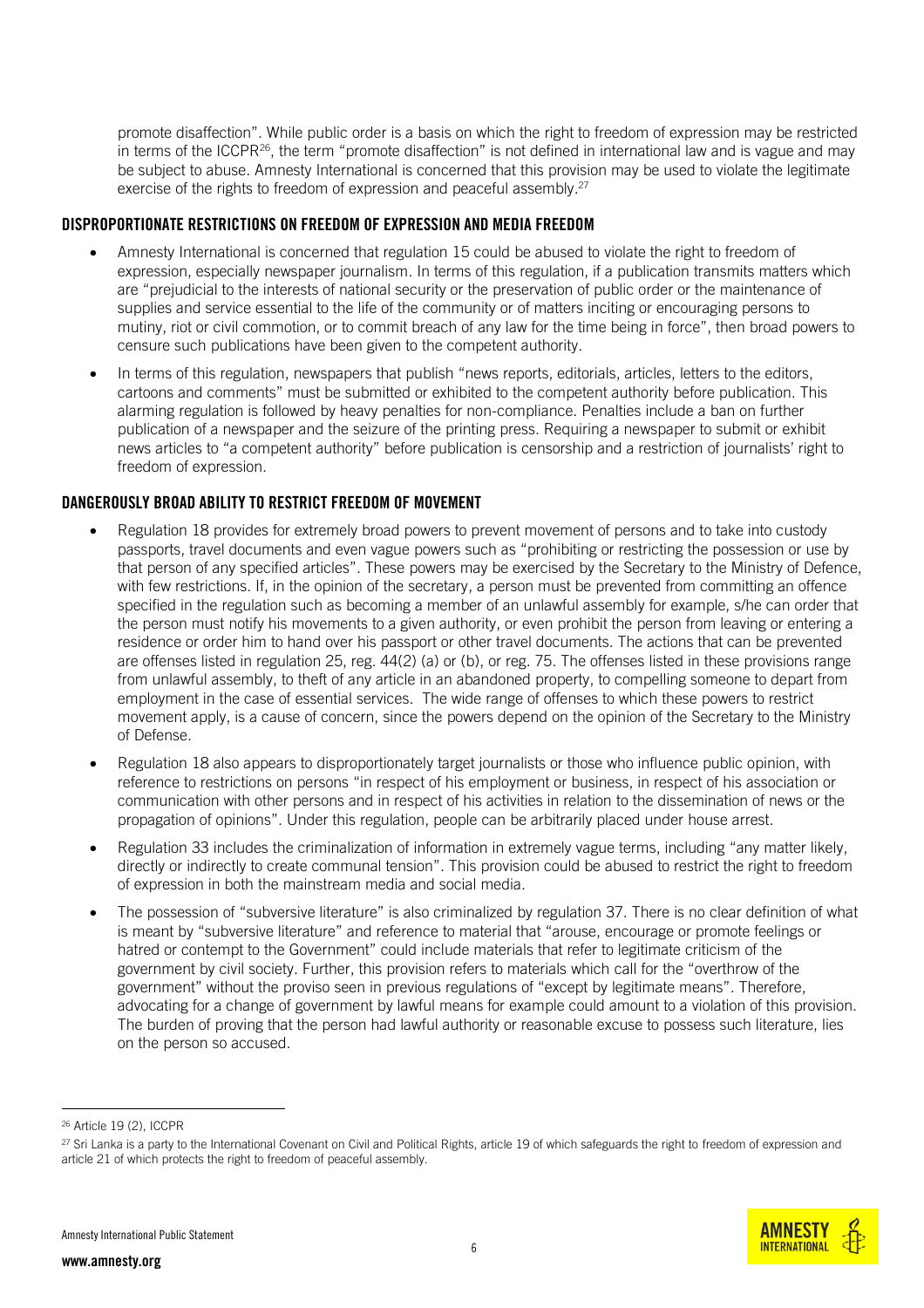promote disaffection". While public order is a basis on which the right to freedom of expression may be restricted in terms of the ICCPR<sup>26</sup>, the term "promote disaffection" is not defined in international law and is vague and may be subject to abuse. Amnesty International is concerned that this provision may be used to violate the legitimate exercise of the rights to freedom of expression and peaceful assembly.<sup>27</sup>

#### DISPROPORTIONATE RESTRICTIONS ON FREEDOM OF EXPRESSION AND MEDIA FREEDOM

- Amnesty International is concerned that regulation 15 could be abused to violate the right to freedom of expression, especially newspaper journalism. In terms of this regulation, if a publication transmits matters which are "prejudicial to the interests of national security or the preservation of public order or the maintenance of supplies and service essential to the life of the community or of matters inciting or encouraging persons to mutiny, riot or civil commotion, or to commit breach of any law for the time being in force", then broad powers to censure such publications have been given to the competent authority.
- In terms of this regulation, newspapers that publish "news reports, editorials, articles, letters to the editors, cartoons and comments" must be submitted or exhibited to the competent authority before publication. This alarming regulation is followed by heavy penalties for non-compliance. Penalties include a ban on further publication of a newspaper and the seizure of the printing press. Requiring a newspaper to submit or exhibit news articles to "a competent authority" before publication is censorship and a restriction of journalists' right to freedom of expression.

#### DANGEROUSLY BROAD ABILITY TO RESTRICT FREEDOM OF MOVEMENT

- Regulation 18 provides for extremely broad powers to prevent movement of persons and to take into custody passports, travel documents and even vague powers such as "prohibiting or restricting the possession or use by that person of any specified articles". These powers may be exercised by the Secretary to the Ministry of Defence, with few restrictions. If, in the opinion of the secretary, a person must be prevented from committing an offence specified in the regulation such as becoming a member of an unlawful assembly for example, s/he can order that the person must notify his movements to a given authority, or even prohibit the person from leaving or entering a residence or order him to hand over his passport or other travel documents. The actions that can be prevented are offenses listed in regulation 25, reg. 44(2) (a) or (b), or reg. 75. The offenses listed in these provisions range from unlawful assembly, to theft of any article in an abandoned property, to compelling someone to depart from employment in the case of essential services. The wide range of offenses to which these powers to restrict movement apply, is a cause of concern, since the powers depend on the opinion of the Secretary to the Ministry of Defense.
- Regulation 18 also appears to disproportionately target journalists or those who influence public opinion, with reference to restrictions on persons "in respect of his employment or business, in respect of his association or communication with other persons and in respect of his activities in relation to the dissemination of news or the propagation of opinions". Under this regulation, people can be arbitrarily placed under house arrest.
- Regulation 33 includes the criminalization of information in extremely vague terms, including "any matter likely, directly or indirectly to create communal tension". This provision could be abused to restrict the right to freedom of expression in both the mainstream media and social media.
- The possession of "subversive literature" is also criminalized by regulation 37. There is no clear definition of what is meant by "subversive literature" and reference to material that "arouse, encourage or promote feelings or hatred or contempt to the Government" could include materials that refer to legitimate criticism of the government by civil society. Further, this provision refers to materials which call for the "overthrow of the government" without the proviso seen in previous regulations of "except by legitimate means". Therefore, advocating for a change of government by lawful means for example could amount to a violation of this provision. The burden of proving that the person had lawful authority or reasonable excuse to possess such literature, lies on the person so accused.

j



<sup>26</sup> Article 19 (2), ICCPR

 $^{27}$  Sri Lanka is a party to the International Covenant on Civil and Political Rights, article 19 of which safeguards the right to freedom of expression and article 21 of which protects the right to freedom of peaceful assembly.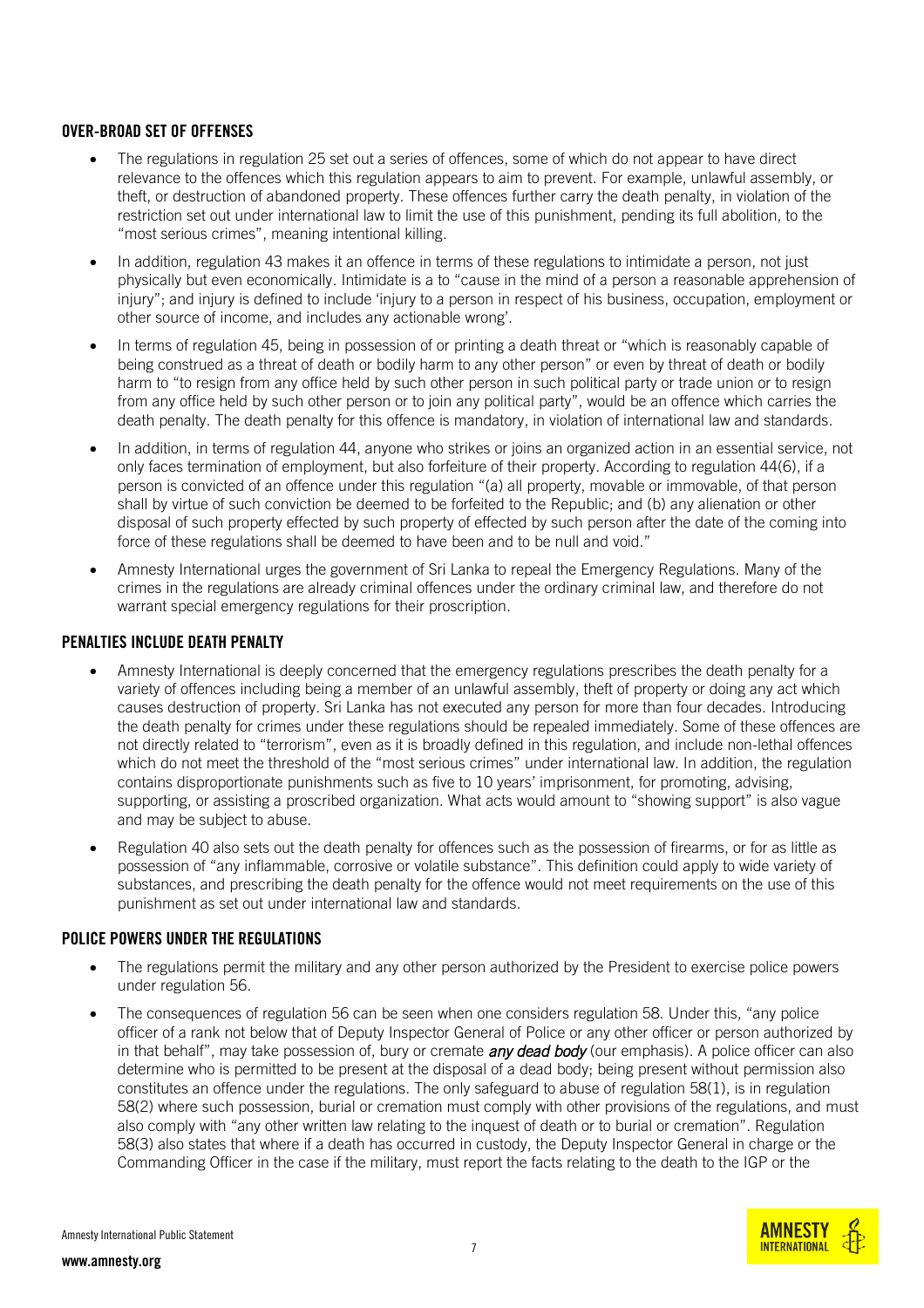#### OVER-BROAD SET OF OFFENSES

- The regulations in regulation 25 set out a series of offences, some of which do not appear to have direct relevance to the offences which this regulation appears to aim to prevent. For example, unlawful assembly, or theft, or destruction of abandoned property. These offences further carry the death penalty, in violation of the restriction set out under international law to limit the use of this punishment, pending its full abolition, to the "most serious crimes", meaning intentional killing.
- In addition, regulation 43 makes it an offence in terms of these regulations to intimidate a person, not just physically but even economically. Intimidate is a to "cause in the mind of a person a reasonable apprehension of injury"; and injury is defined to include 'injury to a person in respect of his business, occupation, employment or other source of income, and includes any actionable wrong'.
- In terms of regulation 45, being in possession of or printing a death threat or "which is reasonably capable of being construed as a threat of death or bodily harm to any other person" or even by threat of death or bodily harm to "to resign from any office held by such other person in such political party or trade union or to resign from any office held by such other person or to join any political party", would be an offence which carries the death penalty. The death penalty for this offence is mandatory, in violation of international law and standards.
- In addition, in terms of regulation 44, anyone who strikes or joins an organized action in an essential service, not only faces termination of employment, but also forfeiture of their property. According to regulation 44(6), if a person is convicted of an offence under this regulation "(a) all property, movable or immovable, of that person shall by virtue of such conviction be deemed to be forfeited to the Republic; and (b) any alienation or other disposal of such property effected by such property of effected by such person after the date of the coming into force of these regulations shall be deemed to have been and to be null and void."
- Amnesty International urges the government of Sri Lanka to repeal the Emergency Regulations. Many of the crimes in the regulations are already criminal offences under the ordinary criminal law, and therefore do not warrant special emergency regulations for their proscription.

#### PENALTIES INCLUDE DEATH PENALTY

- Amnesty International is deeply concerned that the emergency regulations prescribes the death penalty for a variety of offences including being a member of an unlawful assembly, theft of property or doing any act which causes destruction of property. Sri Lanka has not executed any person for more than four decades. Introducing the death penalty for crimes under these regulations should be repealed immediately. Some of these offences are not directly related to "terrorism", even as it is broadly defined in this regulation, and include non-lethal offences which do not meet the threshold of the "most serious crimes" under international law. In addition, the regulation contains disproportionate punishments such as five to 10 years' imprisonment, for promoting, advising, supporting, or assisting a proscribed organization. What acts would amount to "showing support" is also vague and may be subject to abuse.
- Regulation 40 also sets out the death penalty for offences such as the possession of firearms, or for as little as possession of "any inflammable, corrosive or volatile substance". This definition could apply to wide variety of substances, and prescribing the death penalty for the offence would not meet requirements on the use of this punishment as set out under international law and standards.

## POLICE POWERS UNDER THE REGIU ATIONS

- The regulations permit the military and any other person authorized by the President to exercise police powers under regulation 56.
- The consequences of regulation 56 can be seen when one considers regulation 58. Under this, "any police" officer of a rank not below that of Deputy Inspector General of Police or any other officer or person authorized by in that behalf", may take possession of, bury or cremate *any dead body* (our emphasis). A police officer can also determine who is permitted to be present at the disposal of a dead body; being present without permission also constitutes an offence under the regulations. The only safeguard to abuse of regulation 58(1), is in regulation 58(2) where such possession, burial or cremation must comply with other provisions of the regulations, and must also comply with "any other written law relating to the inquest of death or to burial or cremation". Regulation 58(3) also states that where if a death has occurred in custody, the Deputy Inspector General in charge or the Commanding Officer in the case if the military, must report the facts relating to the death to the IGP or the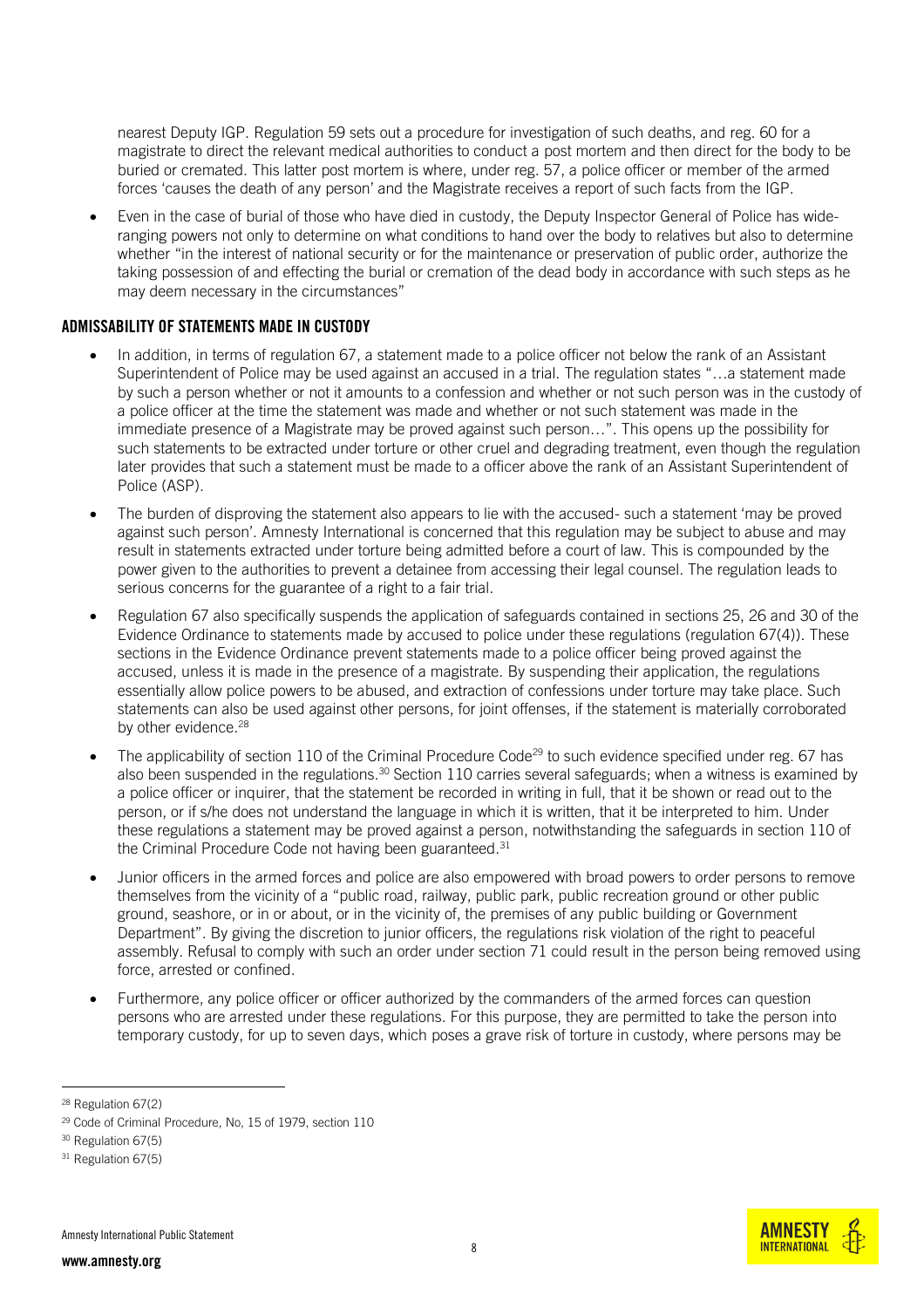nearest Deputy IGP. Regulation 59 sets out a procedure for investigation of such deaths, and reg. 60 for a magistrate to direct the relevant medical authorities to conduct a post mortem and then direct for the body to be buried or cremated. This latter post mortem is where, under reg. 57, a police officer or member of the armed forces 'causes the death of any person' and the Magistrate receives a report of such facts from the IGP.

 Even in the case of burial of those who have died in custody, the Deputy Inspector General of Police has wideranging powers not only to determine on what conditions to hand over the body to relatives but also to determine whether "in the interest of national security or for the maintenance or preservation of public order, authorize the taking possession of and effecting the burial or cremation of the dead body in accordance with such steps as he may deem necessary in the circumstances"

#### ADMISSABILITY OF STATEMENTS MADE IN CUSTODY

- In addition, in terms of regulation 67, a statement made to a police officer not below the rank of an Assistant Superintendent of Police may be used against an accused in a trial. The regulation states "…a statement made by such a person whether or not it amounts to a confession and whether or not such person was in the custody of a police officer at the time the statement was made and whether or not such statement was made in the immediate presence of a Magistrate may be proved against such person…". This opens up the possibility for such statements to be extracted under torture or other cruel and degrading treatment, even though the regulation later provides that such a statement must be made to a officer above the rank of an Assistant Superintendent of Police (ASP).
- The burden of disproving the statement also appears to lie with the accused- such a statement 'may be proved against such person'. Amnesty International is concerned that this regulation may be subject to abuse and may result in statements extracted under torture being admitted before a court of law. This is compounded by the power given to the authorities to prevent a detainee from accessing their legal counsel. The regulation leads to serious concerns for the guarantee of a right to a fair trial.
- Regulation 67 also specifically suspends the application of safeguards contained in sections 25, 26 and 30 of the Evidence Ordinance to statements made by accused to police under these regulations (regulation 67(4)). These sections in the Evidence Ordinance prevent statements made to a police officer being proved against the accused, unless it is made in the presence of a magistrate. By suspending their application, the regulations essentially allow police powers to be abused, and extraction of confessions under torture may take place. Such statements can also be used against other persons, for joint offenses, if the statement is materially corroborated by other evidence. 28
- The applicability of section 110 of the Criminal Procedure Code<sup>29</sup> to such evidence specified under reg. 67 has also been suspended in the regulations.<sup>30</sup> Section 110 carries several safeguards; when a witness is examined by a police officer or inquirer, that the statement be recorded in writing in full, that it be shown or read out to the person, or if s/he does not understand the language in which it is written, that it be interpreted to him. Under these regulations a statement may be proved against a person, notwithstanding the safeguards in section 110 of the Criminal Procedure Code not having been guaranteed. 31
- Junior officers in the armed forces and police are also empowered with broad powers to order persons to remove themselves from the vicinity of a "public road, railway, public park, public recreation ground or other public ground, seashore, or in or about, or in the vicinity of, the premises of any public building or Government Department". By giving the discretion to junior officers, the regulations risk violation of the right to peaceful assembly. Refusal to comply with such an order under section 71 could result in the person being removed using force, arrested or confined.
- Furthermore, any police officer or officer authorized by the commanders of the armed forces can question persons who are arrested under these regulations. For this purpose, they are permitted to take the person into temporary custody, for up to seven days, which poses a grave risk of torture in custody, where persons may be



<sup>28</sup> Regulation 67(2)

<sup>29</sup> Code of Criminal Procedure, No, 15 of 1979, section 110

<sup>30</sup> Regulation 67(5)

<sup>&</sup>lt;sup>31</sup> Regulation 67(5)